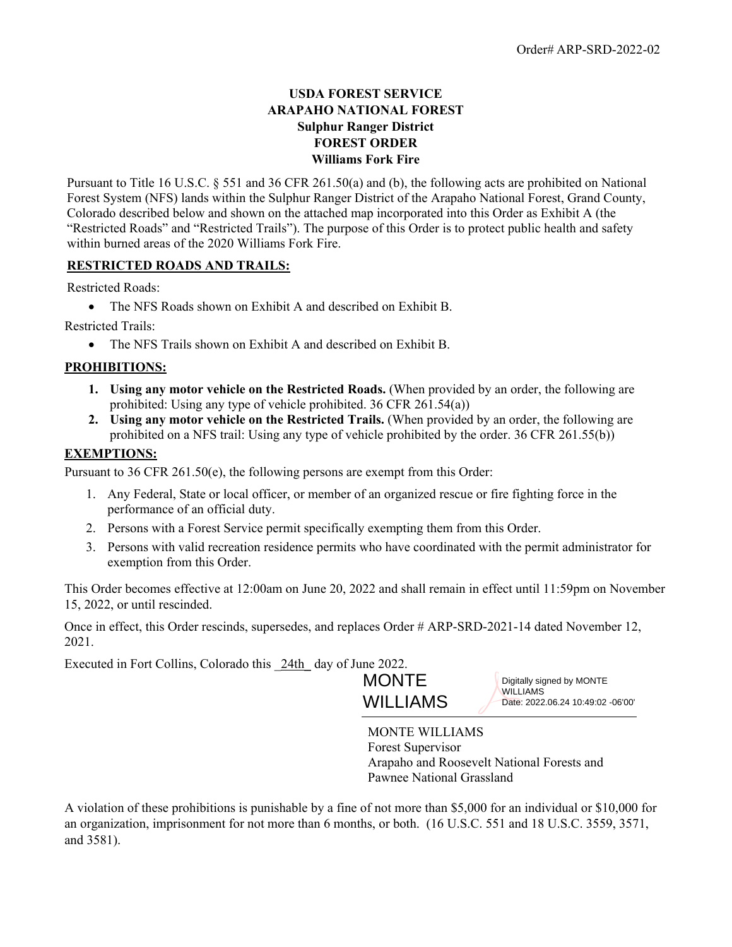## **USDA FOREST SERVICE ARAPAHO NATIONAL FOREST Sulphur Ranger District FOREST ORDER Williams Fork Fire**

Pursuant to Title 16 U.S.C. § 551 and 36 CFR 261.50(a) and (b), the following acts are prohibited on National Forest System (NFS) lands within the Sulphur Ranger District of the Arapaho National Forest, Grand County, Colorado described below and shown on the attached map incorporated into this Order as Exhibit A (the "Restricted Roads" and "Restricted Trails"). The purpose of this Order is to protect public health and safety within burned areas of the 2020 Williams Fork Fire.

## **RESTRICTED ROADS AND TRAILS:**

Restricted Roads:

• The NFS Roads shown on Exhibit A and described on Exhibit B.

Restricted Trails:

• The NFS Trails shown on Exhibit A and described on Exhibit B.

## **PROHIBITIONS:**

- **1. Using any motor vehicle on the Restricted Roads.** (When provided by an order, the following are prohibited: Using any type of vehicle prohibited. 36 CFR 261.54(a))
- **2. Using any motor vehicle on the Restricted Trails.** (When provided by an order, the following are prohibited on a NFS trail: Using any type of vehicle prohibited by the order. 36 CFR 261.55(b))

## **EXEMPTIONS:**

Pursuant to 36 CFR 261.50(e), the following persons are exempt from this Order:

- 1. Any Federal, State or local officer, or member of an organized rescue or fire fighting force in the performance of an official duty.
- 2. Persons with a Forest Service permit specifically exempting them from this Order.
- 3. Persons with valid recreation residence permits who have coordinated with the permit administrator for exemption from this Order.

This Order becomes effective at 12:00am on June 20, 2022 and shall remain in effect until 11:59pm on November 15, 2022, or until rescinded.

Once in effect, this Order rescinds, supersedes, and replaces Order # ARP-SRD-2021-14 dated November 12, 2021.

Executed in Fort Collins, Colorado this 24th day of June 2022.



Digitally signed by MONTE WILLIAMS Date: 2022.06.24 10:49:02 -06'00'

MONTE WILLIAMS Forest Supervisor Arapaho and Roosevelt National Forests and Pawnee National Grassland

A violation of these prohibitions is punishable by a fine of not more than \$5,000 for an individual or \$10,000 for an organization, imprisonment for not more than 6 months, or both. (16 U.S.C. 551 and 18 U.S.C. 3559, 3571, and 3581).